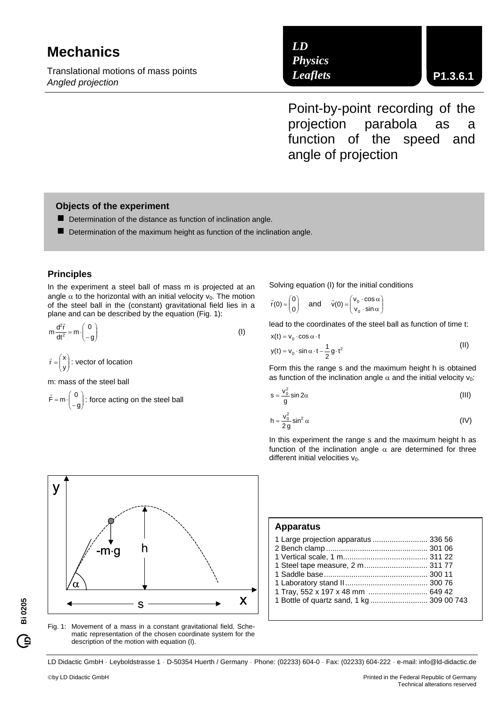# **Mechanics**

Translational motions of mass points *Angled projection* 

*LD Physics Leaflets*

Point-by-point recording of the projection parabola as a function of the speed and angle of projection

### **Objects of the experiment**

- $\blacksquare$  Determination of the distance as function of inclination angle.
- $\blacksquare$  Determination of the maximum height as function of the inclination angle.

#### **Principles**

In the experiment a steel ball of mass m is projected at an angle  $\alpha$  to the horizontal with an initial velocity  $v_0$ . The motion of the steel ball in the (constant) gravitational field lies in a plane and can be described by the equation (Fig. 1):

$$
m\frac{d^2\vec{r}}{dt^2} = m \cdot \begin{pmatrix} 0 \\ -g \end{pmatrix}
$$
 (1)

 $\overline{\phantom{a}}$ ⎠ ⎞  $\overline{\phantom{a}}$  $\vec{r} = \begin{pmatrix} x \\ y \end{pmatrix}$ : vector of location

m: mass of the steel ball

$$
\vec{F} = m \cdot \begin{pmatrix} 0 \\ -g \end{pmatrix}
$$
: force acting on the steel ball

Solving equation (I) for the initial conditions

$$
\vec{r}(0) = \begin{pmatrix} 0 \\ 0 \end{pmatrix} \quad \text{and} \quad \vec{v}(0) = \begin{pmatrix} v_0 \cdot \cos \alpha \\ v_0 \cdot \sin \alpha \end{pmatrix}
$$

lead to the coordinates of the steel ball as function of time t:

$$
x(t) = v_0 \cdot \cos \alpha \cdot t
$$
  
\n
$$
y(t) = v_0 \cdot \sin \alpha \cdot t - \frac{1}{2} g \cdot t^2
$$
\n(II)

Form this the range s and the maximum height h is obtained as function of the inclination angle  $\alpha$  and the initial velocity  $v_0$ :

$$
s = \frac{v_0^2}{g} \sin 2\alpha
$$
 (III)

$$
h = \frac{v_0^2}{2g} \sin^2 \alpha
$$
 (IV)

In this experiment the range s and the maximum height h as function of the inclination angle  $\alpha$  are determined for three different initial velocities  $v_0$ .



Fig. 1: Movement of a mass in a constant gravitational field. Schematic representation of the chosen coordinate system for the description of the motion with equation (I).

**Apparatus** 

| 1 Large projection apparatus  336 56      |  |
|-------------------------------------------|--|
| 1 Tray, 552 x 197 x 48 mm  649 42         |  |
| 1 Bottle of quartz sand, 1 kg  309 00 743 |  |

LD Didactic GmbH · Leyboldstrasse 1 · D-50354 Huerth / Germany · Phone: (02233) 604-0 · Fax: (02233) 604-222 · e-mail: info@ld-didactic.de

**Bi 0205** 

Ĝ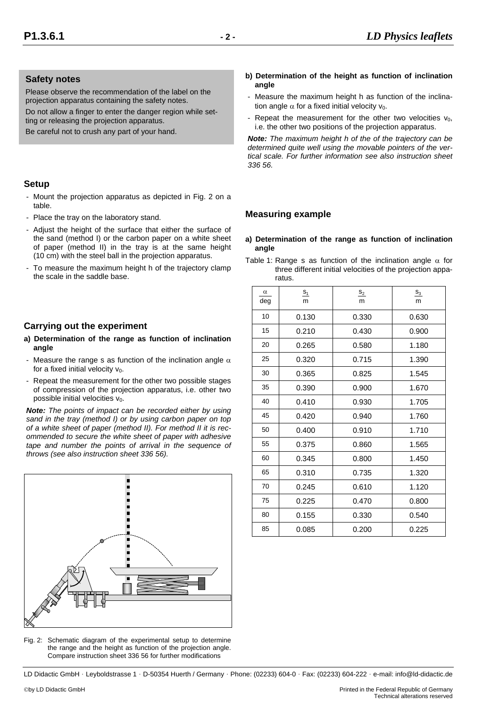#### **Safety notes**

Please observe the recommendation of the label on the projection apparatus containing the safety notes.

Do not allow a finger to enter the danger region while setting or releasing the projection apparatus.

Be careful not to crush any part of your hand.

### **Setup**

- Mount the projection apparatus as depicted in Fig. 2 on a table.
- Place the tray on the laboratory stand.
- Adjust the height of the surface that either the surface of the sand (method I) or the carbon paper on a white sheet of paper (method II) in the tray is at the same height (10 cm) with the steel ball in the projection apparatus.
- To measure the maximum height h of the trajectory clamp the scale in the saddle base.

# **Carrying out the experiment**

- **a) Determination of the range as function of inclination angle**
- Measure the range s as function of the inclination angle  $\alpha$ for a fixed initial velocity  $v_0$ .
- Repeat the measurement for the other two possible stages of compression of the projection apparatus, i.e. other two possible initial velocities  $v_0$ .

*Note: The points of impact can be recorded either by using sand in the tray (method I) or by using carbon paper on top of a white sheet of paper (method II). For method II it is recommended to secure the white sheet of paper with adhesive tape and number the points of arrival in the sequence of throws (see also instruction sheet 336 56).* 



Fig. 2: Schematic diagram of the experimental setup to determine the range and the height as function of the projection angle. Compare instruction sheet 336 56 for further modifications

- **b) Determination of the height as function of inclination angle**
- Measure the maximum height h as function of the inclination angle  $\alpha$  for a fixed initial velocity  $v_0$ .
- Repeat the measurement for the other two velocities  $v_0$ , i.e. the other two positions of the projection apparatus.

*Note: The maximum height h of the of the trajectory can be determined quite well using the movable pointers of the vertical scale. For further information see also instruction sheet 336 56.* 

# **Measuring example**

- **a) Determination of the range as function of inclination angle**
- Table 1: Range s as function of the inclination angle  $\alpha$  for three different initial velocities of the projection apparatus.

| $\alpha$<br>deg | $S_1$<br>m | $S_2$<br>m | $S_3$<br>m |
|-----------------|------------|------------|------------|
| 10              | 0.130      | 0.330      | 0.630      |
| 15              | 0.210      | 0.430      | 0.900      |
| 20              | 0.265      | 0.580      | 1.180      |
| 25              | 0.320      | 0.715      | 1.390      |
| 30              | 0.365      | 0.825      | 1.545      |
| 35              | 0.390      | 0.900      | 1.670      |
| 40              | 0.410      | 0.930      | 1.705      |
| 45              | 0.420      | 0.940      | 1.760      |
| 50              | 0.400      | 0.910      | 1.710      |
| 55              | 0.375      | 0.860      | 1.565      |
| 60              | 0.345      | 0.800      | 1.450      |
| 65              | 0.310      | 0.735      | 1.320      |
| 70              | 0.245      | 0.610      | 1.120      |
| 75              | 0.225      | 0.470      | 0.800      |
| 80              | 0.155      | 0.330      | 0.540      |
| 85              | 0.085      | 0.200      | 0.225      |

LD Didactic GmbH · Leyboldstrasse 1 · D-50354 Huerth / Germany · Phone: (02233) 604-0 · Fax: (02233) 604-222 · e-mail: info@ld-didactic.de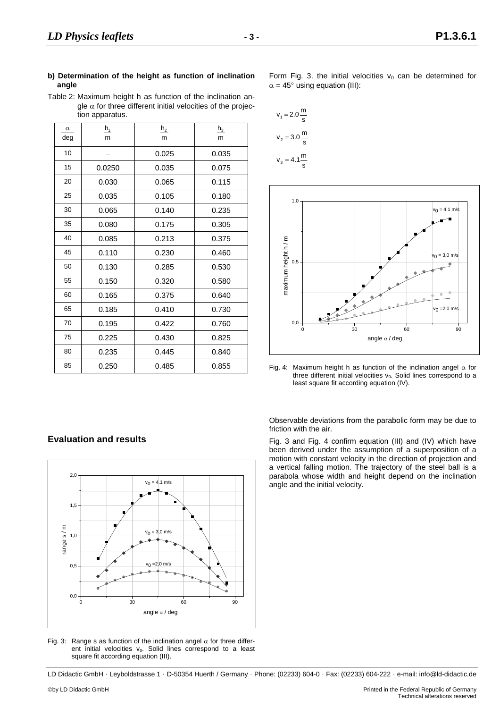Table 2: Maximum height h as function of the inclination angle  $\alpha$  for three different initial velocities of the projection apparatus.

| $\alpha$<br>deg | $h_1$<br>m | h <sub>2</sub><br>m | $h_3$<br>m |
|-----------------|------------|---------------------|------------|
| 10              |            | 0.025               | 0.035      |
| 15              | 0.0250     | 0.035               | 0.075      |
| 20              | 0.030      | 0.065               | 0.115      |
| 25              | 0.035      | 0.105               | 0.180      |
| 30              | 0.065      | 0.140               | 0.235      |
| 35              | 0.080      | 0.175               | 0.305      |
| 40              | 0.085      | 0.213               | 0.375      |
| 45              | 0.110      | 0.230               | 0.460      |
| 50              | 0.130      | 0.285               | 0.530      |
| 55              | 0.150      | 0.320               | 0.580      |
| 60              | 0.165      | 0.375               | 0.640      |
| 65              | 0.185      | 0.410               | 0.730      |
| 70              | 0.195      | 0.422               | 0.760      |
| 75              | 0.225      | 0.430               | 0.825      |
| 80              | 0.235      | 0.445               | 0.840      |
| 85              | 0.250      | 0.485               | 0.855      |

Form Fig. 3. the initial velocities  $v_0$  can be determined for  $\alpha = 45^{\circ}$  using equation (III):

$$
v_1 = 2.0 \frac{m}{s}
$$

$$
v_2 = 3.0 \frac{m}{s}
$$

$$
v_3 = 4.1 \frac{m}{s}
$$



Fig. 4: Maximum height h as function of the inclination angel  $\alpha$  for three different initial velocities  $v_0$ . Solid lines correspond to a least square fit according equation (IV).

Observable deviations from the parabolic form may be due to friction with the air.

Fig. 3 and Fig. 4 confirm equation (III) and (IV) which have been derived under the assumption of a superposition of a motion with constant velocity in the direction of projection and a vertical falling motion. The trajectory of the steel ball is a parabola whose width and height depend on the inclination angle and the initial velocity.

# **Evaluation and results**



Fig. 3: Range s as function of the inclination angel  $\alpha$  for three different initial velocities  $v_0$ . Solid lines correspond to a least square fit according equation (III).

LD Didactic GmbH · Leyboldstrasse 1 · D-50354 Huerth / Germany · Phone: (02233) 604-0 · Fax: (02233) 604-222 · e-mail: info@ld-didactic.de